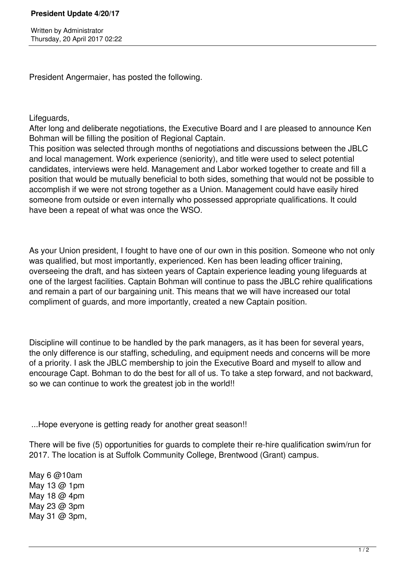President Angermaier, has posted the following.

Lifeguards,

After long and deliberate negotiations, the Executive Board and I are pleased to announce Ken Bohman will be filling the position of Regional Captain.

This position was selected through months of negotiations and discussions between the JBLC and local management. Work experience (seniority), and title were used to select potential candidates, interviews were held. Management and Labor worked together to create and fill a position that would be mutually beneficial to both sides, something that would not be possible to accomplish if we were not strong together as a Union. Management could have easily hired someone from outside or even internally who possessed appropriate qualifications. It could have been a repeat of what was once the WSO.

As your Union president, I fought to have one of our own in this position. Someone who not only was qualified, but most importantly, experienced. Ken has been leading officer training, overseeing the draft, and has sixteen years of Captain experience leading young lifeguards at one of the largest facilities. Captain Bohman will continue to pass the JBLC rehire qualifications and remain a part of our bargaining unit. This means that we will have increased our total compliment of guards, and more importantly, created a new Captain position.

Discipline will continue to be handled by the park managers, as it has been for several years, the only difference is our staffing, scheduling, and equipment needs and concerns will be more of a priority. I ask the JBLC membership to join the Executive Board and myself to allow and encourage Capt. Bohman to do the best for all of us. To take a step forward, and not backward, so we can continue to work the greatest job in the world!!

...Hope everyone is getting ready for another great season!!

There will be five (5) opportunities for guards to complete their re-hire qualification swim/run for 2017. The location is at Suffolk Community College, Brentwood (Grant) campus.

May 6 @10am May 13 @ 1pm May 18 @ 4pm May 23 @ 3pm May 31 @ 3pm,